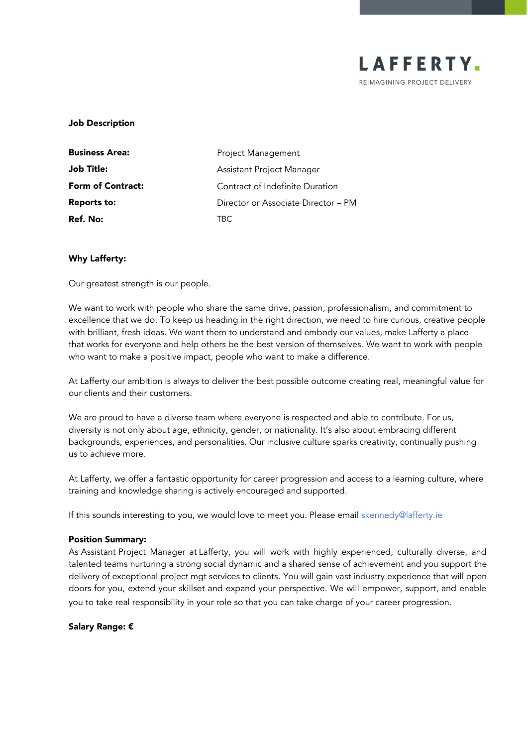

### Job Description

| <b>Business Area:</b>    | Project Management                  |
|--------------------------|-------------------------------------|
| Job Title:               | Assistant Project Manager           |
| <b>Form of Contract:</b> | Contract of Indefinite Duration     |
| Reports to:              | Director or Associate Director - PM |
| Ref. No:                 | TBC.                                |

## Why Lafferty:

Our greatest strength is our people.

We want to work with people who share the same drive, passion, professionalism, and commitment to excellence that we do. To keep us heading in the right direction, we need to hire curious, creative people with brilliant, fresh ideas. We want them to understand and embody our values, make Lafferty a place that works for everyone and help others be the best version of themselves. We want to work with people who want to make a positive impact, people who want to make a difference.

At Lafferty our ambition is always to deliver the best possible outcome creating real, meaningful value for our clients and their customers.

We are proud to have a diverse team where everyone is respected and able to contribute. For us, diversity is not only about age, ethnicity, gender, or nationality. It's also about embracing different backgrounds, experiences, and personalities. Our inclusive culture sparks creativity, continually pushing us to achieve more.

At Lafferty, we offer a fantastic opportunity for career progression and access to a learning culture, where training and knowledge sharing is actively encouraged and supported.

If this sounds interesting to you, we would love to meet you. Please email [skennedy@lafferty.ie](mailto:skennedy@lafferty.ie)

#### Position Summary:

As Assistant Project Manager at Lafferty, you will work with highly experienced, culturally diverse, and talented teams nurturing a strong social dynamic and a shared sense of achievement and you support the delivery of exceptional project mgt services to clients. You will gain vast industry experience that will open doors for you, extend your skillset and expand your perspective. We will empower, support, and enable you to take real responsibility in your role so that you can take charge of your career progression.

# Salary Range: €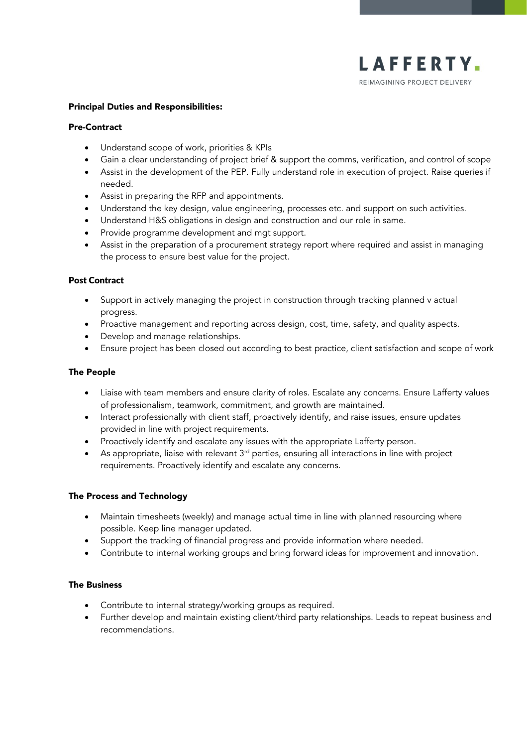

## Principal Duties and Responsibilities:

### Pre-Contract

- Understand scope of work, priorities & KPIs
- Gain a clear understanding of project brief & support the comms, verification, and control of scope
- Assist in the development of the PEP. Fully understand role in execution of project. Raise queries if needed.
- Assist in preparing the RFP and appointments.
- Understand the key design, value engineering, processes etc. and support on such activities.
- Understand H&S obligations in design and construction and our role in same.
- Provide programme development and mgt support.
- Assist in the preparation of a procurement strategy report where required and assist in managing the process to ensure best value for the project.

# Post Contract

- Support in actively managing the project in construction through tracking planned v actual progress.
- Proactive management and reporting across design, cost, time, safety, and quality aspects.
- Develop and manage relationships.
- Ensure project has been closed out according to best practice, client satisfaction and scope of work

## The People

- Liaise with team members and ensure clarity of roles. Escalate any concerns. Ensure Lafferty values of professionalism, teamwork, commitment, and growth are maintained.
- Interact professionally with client staff, proactively identify, and raise issues, ensure updates provided in line with project requirements.
- Proactively identify and escalate any issues with the appropriate Lafferty person.
- As appropriate, liaise with relevant  $3<sup>rd</sup>$  parties, ensuring all interactions in line with project requirements. Proactively identify and escalate any concerns.

# The Process and Technology

- Maintain timesheets (weekly) and manage actual time in line with planned resourcing where possible. Keep line manager updated.
- Support the tracking of financial progress and provide information where needed.
- Contribute to internal working groups and bring forward ideas for improvement and innovation.

# The Business

- Contribute to internal strategy/working groups as required.
- Further develop and maintain existing client/third party relationships. Leads to repeat business and recommendations.